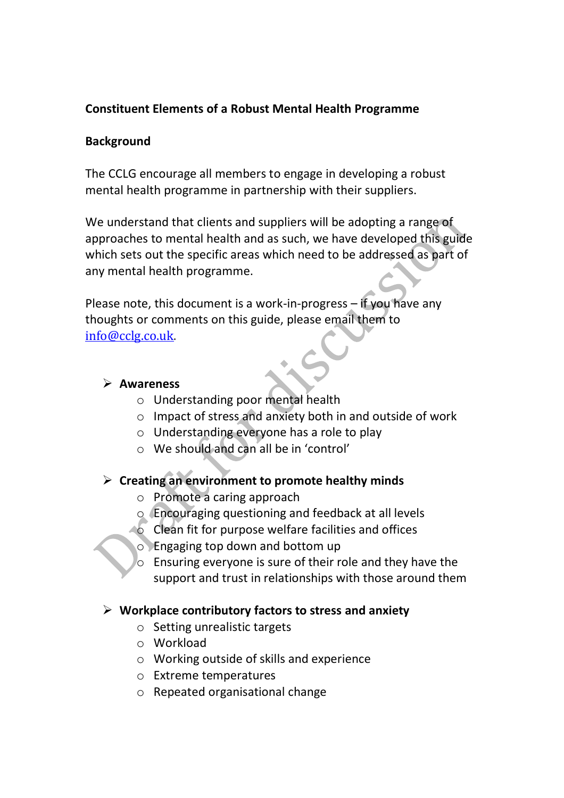# **Constituent Elements of a Robust Mental Health Programme**

### **Background**

The CCLG encourage all members to engage in developing a robust mental health programme in partnership with their suppliers.

We understand that clients and suppliers will be adopting a range of approaches to mental health and as such, we have developed this guide which sets out the specific areas which need to be addressed as part of any mental health programme.

Please note, this document is a work-in-progress – if you have any thoughts or comments on this guide, please email them to [info@cclg.co.uk.](mailto:info@cclg.co.uk)

### ➢ **Awareness**

- o Understanding poor mental health
- o Impact of stress and anxiety both in and outside of work
- o Understanding everyone has a role to play
- o We should and can all be in 'control'

# ➢ **Creating an environment to promote healthy minds**

- o Promote a caring approach
- o Encouraging questioning and feedback at all levels
- $\triangle$  Clean fit for purpose welfare facilities and offices
- o Engaging top down and bottom up
- o Ensuring everyone is sure of their role and they have the support and trust in relationships with those around them

# ➢ **Workplace contributory factors to stress and anxiety**

- o Setting unrealistic targets
- o Workload
- o Working outside of skills and experience
- o Extreme temperatures
- o Repeated organisational change